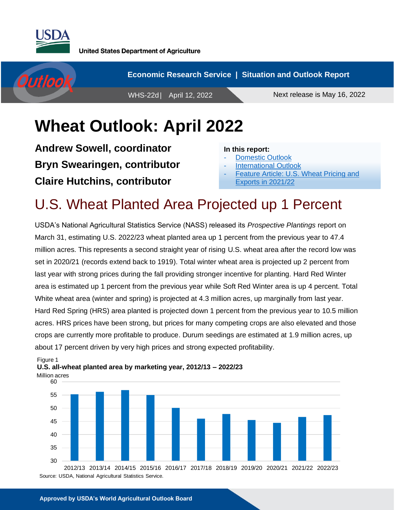

Figure 1



# **Wheat Outlook: April 2022**

**Andrew Sowell, coordinator Bryn Swearingen, contributor Claire Hutchins, contributor**

#### **In this report:**

- [Domestic Outlook](#page-1-0)
- [International](#page-7-0) Outlook
- [Feature Article: U.S. Wheat Pricing and](#page-11-0) [Exports in 2021/22](#page-11-0)

## U.S. Wheat Planted Area Projected up 1 Percent

USDA's National Agricultural Statistics Service (NASS) released its *Prospective Plantings* report on March 31, estimating U.S. 2022/23 wheat planted area up 1 percent from the previous year to 47.4 million acres. This represents a second straight year of rising U.S. wheat area after the record low was set in 2020/21 (records extend back to 1919). Total winter wheat area is projected up 2 percent from last year with strong prices during the fall providing stronger incentive for planting. Hard Red Winter area is estimated up 1 percent from the previous year while Soft Red Winter area is up 4 percent. Total White wheat area (winter and spring) is projected at 4.3 million acres, up marginally from last year. Hard Red Spring (HRS) area planted is projected down 1 percent from the previous year to 10.5 million acres. HRS prices have been strong, but prices for many competing crops are also elevated and those crops are currently more profitable to produce. Durum seedings are estimated at 1.9 million acres, up about 17 percent driven by very high prices and strong expected profitability.



#### Million acres **U.S. all-wheat planted area by marketing year, 2012/13 – 2022/23**

Source: USDA, National Agricultural Statistics Service.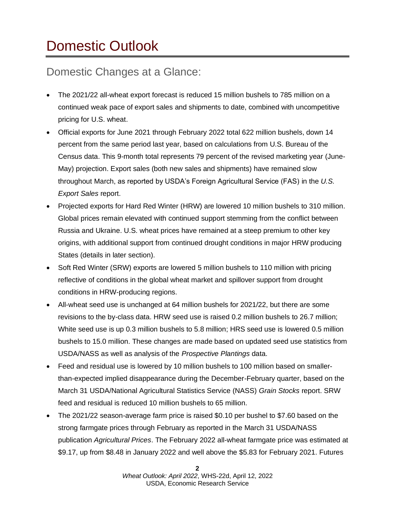# <span id="page-1-0"></span>Domestic Outlook

### Domestic Changes at a Glance:

- The 2021/22 all-wheat export forecast is reduced 15 million bushels to 785 million on a continued weak pace of export sales and shipments to date, combined with uncompetitive pricing for U.S. wheat.
- Official exports for June 2021 through February 2022 total 622 million bushels, down 14 percent from the same period last year, based on calculations from U.S. Bureau of the Census data. This 9-month total represents 79 percent of the revised marketing year (June-May) projection. Export sales (both new sales and shipments) have remained slow throughout March, as reported by USDA's Foreign Agricultural Service (FAS) in the *U.S. Export Sales* report.
- Projected exports for Hard Red Winter (HRW) are lowered 10 million bushels to 310 million. Global prices remain elevated with continued support stemming from the conflict between Russia and Ukraine. U.S. wheat prices have remained at a steep premium to other key origins, with additional support from continued drought conditions in major HRW producing States (details in later section).
- Soft Red Winter (SRW) exports are lowered 5 million bushels to 110 million with pricing reflective of conditions in the global wheat market and spillover support from drought conditions in HRW-producing regions.
- All-wheat seed use is unchanged at 64 million bushels for 2021/22, but there are some revisions to the by-class data. HRW seed use is raised 0.2 million bushels to 26.7 million; White seed use is up 0.3 million bushels to 5.8 million; HRS seed use is lowered 0.5 million bushels to 15.0 million. These changes are made based on updated seed use statistics from USDA/NASS as well as analysis of the *Prospective Plantings* data.
- Feed and residual use is lowered by 10 million bushels to 100 million based on smallerthan-expected implied disappearance during the December-February quarter, based on the March 31 USDA/National Agricultural Statistics Service (NASS) *Grain Stocks* report. SRW feed and residual is reduced 10 million bushels to 65 million.
- The 2021/22 season-average farm price is raised \$0.10 per bushel to \$7.60 based on the strong farmgate prices through February as reported in the March 31 USDA/NASS publication *Agricultural Prices*. The February 2022 all-wheat farmgate price was estimated at \$9.17, up from \$8.48 in January 2022 and well above the \$5.83 for February 2021. Futures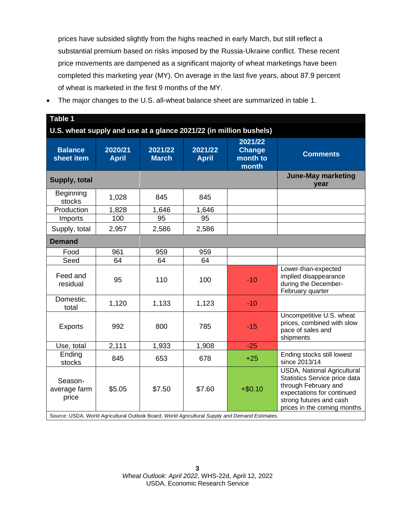prices have subsided slightly from the highs reached in early March, but still reflect a substantial premium based on risks imposed by the Russia-Ukraine conflict. These recent price movements are dampened as a significant majority of wheat marketings have been completed this marketing year (MY). On average in the last five years, about 87.9 percent of wheat is marketed in the first 9 months of the MY.

• The major changes to the U.S. all-wheat balance sheet are summarized in table 1.

| Table 1                                                            |                                   |                         |                         |                                                                                                             |                                                                                                                                                                                     |  |  |
|--------------------------------------------------------------------|-----------------------------------|-------------------------|-------------------------|-------------------------------------------------------------------------------------------------------------|-------------------------------------------------------------------------------------------------------------------------------------------------------------------------------------|--|--|
| U.S. wheat supply and use at a glance 2021/22 (in million bushels) |                                   |                         |                         |                                                                                                             |                                                                                                                                                                                     |  |  |
| <b>Balance</b><br>sheet item                                       | 2020/21<br><b>April</b>           | 2021/22<br><b>March</b> | 2021/22<br><b>April</b> | 2021/22<br><b>Change</b><br>month to<br>month                                                               | <b>Comments</b>                                                                                                                                                                     |  |  |
| Supply, total                                                      | <b>June-May marketing</b><br>year |                         |                         |                                                                                                             |                                                                                                                                                                                     |  |  |
| Beginning<br>stocks                                                | 1,028                             | 845                     | 845                     |                                                                                                             |                                                                                                                                                                                     |  |  |
| Production                                                         | 1,828                             | 1,646                   | 1,646                   |                                                                                                             |                                                                                                                                                                                     |  |  |
| Imports                                                            | 100                               | 95                      | 95                      |                                                                                                             |                                                                                                                                                                                     |  |  |
| Supply, total                                                      | 2,957                             | 2,586                   | 2,586                   |                                                                                                             |                                                                                                                                                                                     |  |  |
| <b>Demand</b>                                                      |                                   |                         |                         |                                                                                                             |                                                                                                                                                                                     |  |  |
| Food                                                               | 961                               | 959                     | 959                     |                                                                                                             |                                                                                                                                                                                     |  |  |
| Seed                                                               | 64                                | 64                      | 64                      |                                                                                                             |                                                                                                                                                                                     |  |  |
| Feed and<br>residual                                               | 95                                | 110                     | 100                     | $-10$                                                                                                       | Lower-than-expected<br>implied disappearance<br>during the December-<br>February quarter                                                                                            |  |  |
| Domestic,<br>total                                                 | 1,120                             | 1,133                   | 1,123                   | $-10$                                                                                                       |                                                                                                                                                                                     |  |  |
| <b>Exports</b>                                                     | 992                               | 800                     | 785                     | $-15$                                                                                                       | Uncompetitive U.S. wheat<br>prices, combined with slow<br>pace of sales and<br>shipments                                                                                            |  |  |
| Use, total                                                         | 2,111                             | 1,933                   | 1,908                   | $-25$                                                                                                       |                                                                                                                                                                                     |  |  |
| Ending<br>stocks                                                   | 845                               | 653                     | 678                     | $+25$                                                                                                       | Ending stocks still lowest<br>since 2013/14                                                                                                                                         |  |  |
| Season-<br>average farm<br>price                                   | \$5.05                            | \$7.50                  | \$7.60                  | $+ $0.10$<br>Source: USDA, World Agricultural Outlook Board, World Agricultural Supply and Demand Estimates | <b>USDA, National Agricultural</b><br>Statistics Service price data<br>through February and<br>expectations for continued<br>strong futures and cash<br>prices in the coming months |  |  |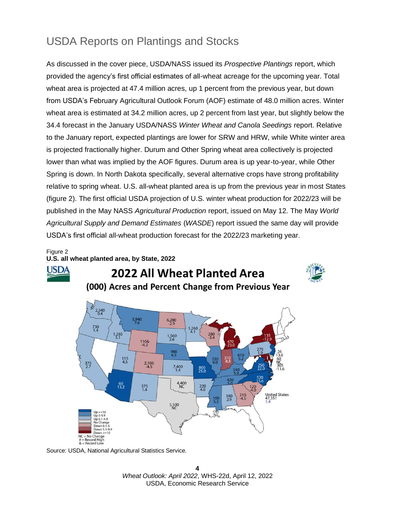### USDA Reports on Plantings and Stocks

As discussed in the cover piece, USDA/NASS issued its *Prospective Plantings* report, which provided the agency's first official estimates of all-wheat acreage for the upcoming year. Total wheat area is projected at 47.4 million acres, up 1 percent from the previous year, but down from USDA's February Agricultural Outlook Forum (AOF) estimate of 48.0 million acres. Winter wheat area is estimated at 34.2 million acres, up 2 percent from last year, but slightly below the 34.4 forecast in the January USDA/NASS *Winter Wheat and Canola Seedings* report. Relative to the January report, expected plantings are lower for SRW and HRW, while White winter area is projected fractionally higher. Durum and Other Spring wheat area collectively is projected lower than what was implied by the AOF figures. Durum area is up year-to-year, while Other Spring is down. In North Dakota specifically, several alternative crops have strong profitability relative to spring wheat. U.S. all-wheat planted area is up from the previous year in most States (figure 2). The first official USDA projection of U.S. winter wheat production for 2022/23 will be published in the May NASS *Agricultural Production* report, issued on May 12. The May *World Agricultural Supply and Demand Estimates* (*WASDE*) report issued the same day will provide USDA's first official all-wheat production forecast for the 2022/23 marketing year.

#### Figure 2 **U.S. all wheat planted area, by State, 2022**



#### 2022 All Wheat Planted Area (000) Acres and Percent Change from Previous Year



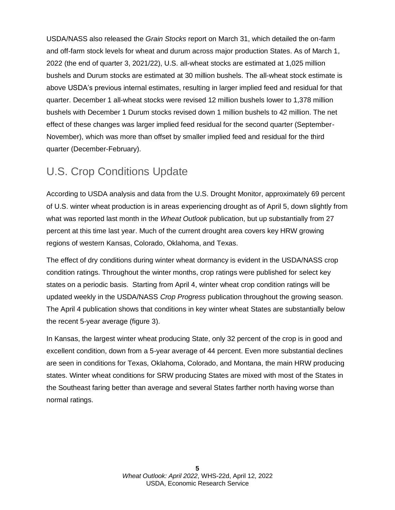USDA/NASS also released the *Grain Stocks* report on March 31, which detailed the on-farm and off-farm stock levels for wheat and durum across major production States. As of March 1, 2022 (the end of quarter 3, 2021/22), U.S. all-wheat stocks are estimated at 1,025 million bushels and Durum stocks are estimated at 30 million bushels. The all-wheat stock estimate is above USDA's previous internal estimates, resulting in larger implied feed and residual for that quarter. December 1 all-wheat stocks were revised 12 million bushels lower to 1,378 million bushels with December 1 Durum stocks revised down 1 million bushels to 42 million. The net effect of these changes was larger implied feed residual for the second quarter (September-November), which was more than offset by smaller implied feed and residual for the third quarter (December-February).

#### U.S. Crop Conditions Update

According to USDA analysis and data from the U.S. Drought Monitor, approximately 69 percent of U.S. winter wheat production is in areas experiencing drought as of April 5, down slightly from what was reported last month in the *Wheat Outlook* publication, but up substantially from 27 percent at this time last year. Much of the current drought area covers key HRW growing regions of western Kansas, Colorado, Oklahoma, and Texas.

The effect of dry conditions during winter wheat dormancy is evident in the USDA/NASS crop condition ratings. Throughout the winter months, crop ratings were published for select key states on a periodic basis. Starting from April 4, winter wheat crop condition ratings will be updated weekly in the USDA/NASS *Crop Progress* publication throughout the growing season. The April 4 publication shows that conditions in key winter wheat States are substantially below the recent 5-year average (figure 3).

In Kansas, the largest winter wheat producing State, only 32 percent of the crop is in good and excellent condition, down from a 5-year average of 44 percent. Even more substantial declines are seen in conditions for Texas, Oklahoma, Colorado, and Montana, the main HRW producing states. Winter wheat conditions for SRW producing States are mixed with most of the States in the Southeast faring better than average and several States farther north having worse than normal ratings.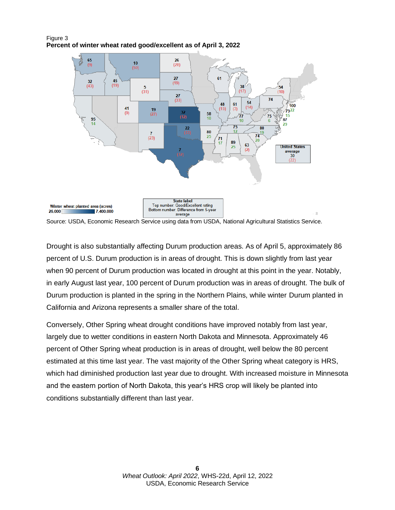



Source: USDA, Economic Research Service using data from USDA, National Agricultural Statistics Service.

Drought is also substantially affecting Durum production areas. As of April 5, approximately 86 percent of U.S. Durum production is in areas of drought. This is down slightly from last year when 90 percent of Durum production was located in drought at this point in the year. Notably, in early August last year, 100 percent of Durum production was in areas of drought. The bulk of Durum production is planted in the spring in the Northern Plains, while winter Durum planted in California and Arizona represents a smaller share of the total.

Conversely, Other Spring wheat drought conditions have improved notably from last year, largely due to wetter conditions in eastern North Dakota and Minnesota. Approximately 46 percent of Other Spring wheat production is in areas of drought, well below the 80 percent estimated at this time last year. The vast majority of the Other Spring wheat category is HRS, which had diminished production last year due to drought. With increased moisture in Minnesota and the eastern portion of North Dakota, this year's HRS crop will likely be planted into conditions substantially different than last year.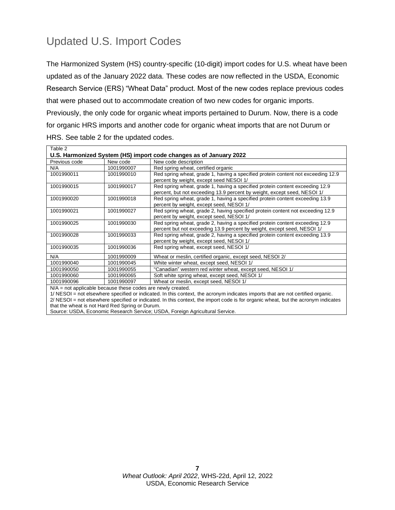### Updated U.S. Import Codes

The Harmonized System (HS) country-specific (10-digit) import codes for U.S. wheat have been updated as of the January 2022 data. These codes are now reflected in the USDA, Economic Research Service (ERS) "Wheat Data" product. Most of the new codes replace previous codes that were phased out to accommodate creation of two new codes for organic imports. Previously, the only code for organic wheat imports pertained to Durum. Now, there is a code for organic HRS imports and another code for organic wheat imports that are not Durum or HRS. See table 2 for the updated codes.

| Table 2       |                                                                    |                                                                                                                                                          |  |  |  |  |
|---------------|--------------------------------------------------------------------|----------------------------------------------------------------------------------------------------------------------------------------------------------|--|--|--|--|
|               | U.S. Harmonized System (HS) import code changes as of January 2022 |                                                                                                                                                          |  |  |  |  |
| Previous code | New code                                                           | New code description                                                                                                                                     |  |  |  |  |
| N/A           | 1001990007                                                         | Red spring wheat, certified organic                                                                                                                      |  |  |  |  |
| 1001990011    | 1001990010                                                         | Red spring wheat, grade 1, having a specified protein content not exceeding 12.9<br>percent by weight, except seed NESOI 1/                              |  |  |  |  |
| 1001990015    | 1001990017                                                         | Red spring wheat, grade 1, having a specified protein content exceeding 12.9<br>percent, but not exceeding 13.9 percent by weight, except seed, NESOI 1/ |  |  |  |  |
| 1001990020    | 1001990018                                                         | Red spring wheat, grade 1, having a specified protein content exceeding 13.9<br>percent by weight, except seed, NESOI 1/                                 |  |  |  |  |
| 1001990021    | 1001990027                                                         | Red spring wheat, grade 2, having specified protein content not exceeding 12.9<br>percent by weight, except seed, NESOI 1/                               |  |  |  |  |
| 1001990025    | 1001990030                                                         | Red spring wheat, grade 2, having a specified protein content exceeding 12.9<br>percent but not exceeding 13.9 percent by weight, except seed, NESOI 1/  |  |  |  |  |
| 1001990028    | 1001990033                                                         | Red spring wheat, grade 2, having a specified protein content exceeding 13.9<br>percent by weight, except seed, NESOI 1/                                 |  |  |  |  |
| 1001990035    | 1001990036                                                         | Red spring wheat, except seed, NESOI 1/                                                                                                                  |  |  |  |  |
| N/A           | 1001990009                                                         | Wheat or meslin, certified organic, except seed, NESOI 2/                                                                                                |  |  |  |  |
| 1001990040    | 1001990045                                                         | White winter wheat, except seed, NESOI 1/                                                                                                                |  |  |  |  |
| 1001990050    | 1001990055                                                         | "Canadian" western red winter wheat, except seed, NESOI 1/                                                                                               |  |  |  |  |
| 1001990060    | 1001990065                                                         | Soft white spring wheat, except seed, NESOI 1/                                                                                                           |  |  |  |  |
| 1001990096    | 1001990097                                                         | Wheat or meslin, except seed, NESOI 1/                                                                                                                   |  |  |  |  |
|               | $N/A$ = not applicable because these codes are newly created.      |                                                                                                                                                          |  |  |  |  |
|               |                                                                    | 1/ NESOI = not elsewhere specified or indicated. In this context, the acronym indicates imports that are not certified organic.                          |  |  |  |  |

2/ NESOI = not elsewhere specified or indicated. In this context, the import code is for organic wheat, but the acronym indicates that the wheat is not Hard Red Spring or Durum.

Source: USDA, Economic Research Service; USDA, Foreign Agricultural Service.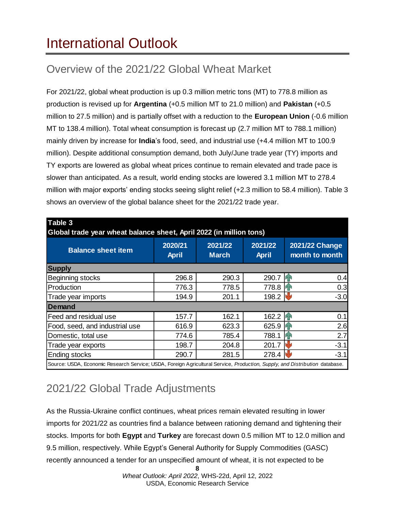## <span id="page-7-0"></span>International Outlook

## Overview of the 2021/22 Global Wheat Market

For 2021/22, global wheat production is up 0.3 million metric tons (MT) to 778.8 million as production is revised up for **Argentina** (+0.5 million MT to 21.0 million) and **Pakistan** (+0.5 million to 27.5 million) and is partially offset with a reduction to the **European Union** (-0.6 million MT to 138.4 million). Total wheat consumption is forecast up (2.7 million MT to 788.1 million) mainly driven by increase for **India**'s food, seed, and industrial use (+4.4 million MT to 100.9 million). Despite additional consumption demand, both July/June trade year (TY) imports and TY exports are lowered as global wheat prices continue to remain elevated and trade pace is slower than anticipated. As a result, world ending stocks are lowered 3.1 million MT to 278.4 million with major exports' ending stocks seeing slight relief (+2.3 million to 58.4 million). Table 3 shows an overview of the global balance sheet for the 2021/22 trade year.

| Global trade year wheat balance sheet, April 2022 (in million tons) |                         |                         |                         |                                  |  |  |
|---------------------------------------------------------------------|-------------------------|-------------------------|-------------------------|----------------------------------|--|--|
| <b>Balance sheet item</b>                                           | 2020/21<br><b>April</b> | 2021/22<br><b>March</b> | 2021/22<br><b>April</b> | 2021/22 Change<br>month to month |  |  |
| <b>Supply</b>                                                       |                         |                         |                         |                                  |  |  |
| Beginning stocks                                                    | 296.8                   | 290.3                   | 290.7                   | 0.4                              |  |  |
| Production                                                          | 776.3                   | 778.5                   | 778.8                   | 0.3                              |  |  |
| Trade year imports                                                  | 194.9                   | 201.1                   | 198.2                   | $-3.0$                           |  |  |
| <b>Demand</b>                                                       |                         |                         |                         |                                  |  |  |
| Feed and residual use                                               | 157.7                   | 162.1                   | 162.2                   | 0.1                              |  |  |
| Food, seed, and industrial use                                      | 616.9                   | 623.3                   | 625.9                   | 2.6                              |  |  |
| Domestic, total use                                                 | 774.6                   | 785.4                   | 788.1                   | 2.7                              |  |  |
| Trade year exports                                                  | 198.7                   | 204.8                   | 201.7                   | $-3.1$                           |  |  |
| <b>Ending stocks</b>                                                | 290.7                   | 281.5                   | 278.4                   | $-3.1$                           |  |  |

## 2021/22 Global Trade Adjustments

As the Russia-Ukraine conflict continues, wheat prices remain elevated resulting in lower imports for 2021/22 as countries find a balance between rationing demand and tightening their stocks. Imports for both **Egypt** and **Turkey** are forecast down 0.5 million MT to 12.0 million and 9.5 million, respectively. While Egypt's General Authority for Supply Commodities (GASC) recently announced a tender for an unspecified amount of wheat, it is not expected to be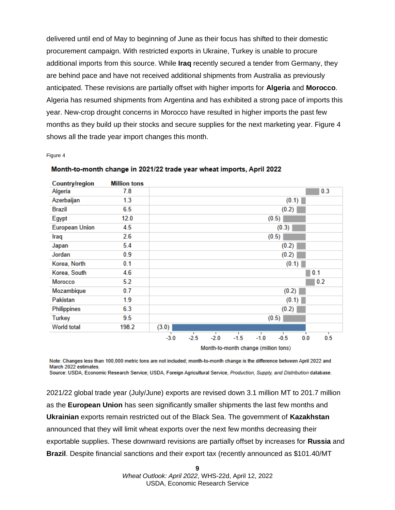delivered until end of May to beginning of June as their focus has shifted to their domestic procurement campaign. With restricted exports in Ukraine, Turkey is unable to procure additional imports from this source. While **Iraq** recently secured a tender from Germany, they are behind pace and have not received additional shipments from Australia as previously anticipated. These revisions are partially offset with higher imports for **Algeria** and **Morocco**. Algeria has resumed shipments from Argentina and has exhibited a strong pace of imports this year. New-crop drought concerns in Morocco have resulted in higher imports the past few months as they build up their stocks and secure supplies for the next marketing year. Figure 4 shows all the trade year import changes this month.

Figure 4

| <b>Country/region</b> | <b>Million tons</b> |                                                                                       |  |  |  |  |
|-----------------------|---------------------|---------------------------------------------------------------------------------------|--|--|--|--|
| Algeria               | 7.8                 | 0.3                                                                                   |  |  |  |  |
| Azerbaijan            | 1.3                 | (0.1)                                                                                 |  |  |  |  |
| <b>Brazil</b>         | 6.5                 | (0.2)                                                                                 |  |  |  |  |
| Egypt                 | 12.0                | (0.5)                                                                                 |  |  |  |  |
| <b>European Union</b> | 4.5                 | (0.3)                                                                                 |  |  |  |  |
| Iraq                  | 2.6                 | (0.5)                                                                                 |  |  |  |  |
| Japan                 | 5.4                 | (0.2)                                                                                 |  |  |  |  |
| Jordan                | 0.9                 | (0.2)                                                                                 |  |  |  |  |
| Korea, North          | 0.1                 | (0.1)                                                                                 |  |  |  |  |
| Korea, South          | 4.6                 | 0.1                                                                                   |  |  |  |  |
| Morocco               | 5.2                 | 0.2                                                                                   |  |  |  |  |
| Mozambique            | 0.7                 | (0.2)                                                                                 |  |  |  |  |
| Pakistan              | 1.9                 | (0.1)                                                                                 |  |  |  |  |
| Philippines           | 6.3                 | (0.2)                                                                                 |  |  |  |  |
| <b>Turkey</b>         | 9.5                 | (0.5)                                                                                 |  |  |  |  |
| <b>World total</b>    | 198.2               | (3.0)                                                                                 |  |  |  |  |
|                       |                     | т<br>т<br>т<br>$-2.5$<br>$-2.0$<br>$-0.5$<br>$-3.0$<br>$-1.5$<br>$-1.0$<br>0.5<br>0.0 |  |  |  |  |
|                       |                     | <b>Advertised as a settle allowance funditure from V</b>                              |  |  |  |  |

Month-to-month change in 2021/22 trade year wheat imports, April 2022

 $\overline{a}$ 

Month-to-month change (million tons)

Note: Changes less than 100,000 metric tons are not included; month-to-month change is the difference between April 2022 and March 2022 estimates. Source: USDA, Economic Research Service; USDA, Foreign Agricultural Service, Production, Supply, and Distribution database.

2021/22 global trade year (July/June) exports are revised down 3.1 million MT to 201.7 million as the **European Union** has seen significantly smaller shipments the last few months and **Ukrainian** exports remain restricted out of the Black Sea. The government of **Kazakhstan** announced that they will limit wheat exports over the next few months decreasing their exportable supplies. These downward revisions are partially offset by increases for **Russia** and **Brazil**. Despite financial sanctions and their export tax (recently announced as \$101.40/MT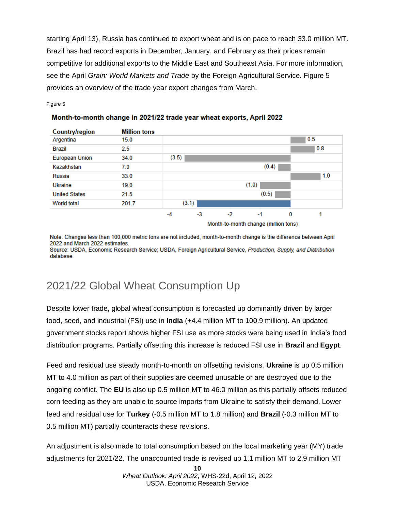starting April 13), Russia has continued to export wheat and is on pace to reach 33.0 million MT. Brazil has had record exports in December, January, and February as their prices remain competitive for additional exports to the Middle East and Southeast Asia. For more information, see the April *Grain: World Markets and Trade* by the Foreign Agricultural Service. Figure 5 provides an overview of the trade year export changes from March.

Figure 5

#### Month-to-month change in 2021/22 trade year wheat exports, April 2022



Month-to-month change (million tons)

Note: Changes less than 100,000 metric tons are not included; month-to-month change is the difference between April 2022 and March 2022 estimates. Source: USDA, Economic Research Service; USDA, Foreign Agricultural Service, Production, Supply, and Distribution database

### 2021/22 Global Wheat Consumption Up

Despite lower trade, global wheat consumption is forecasted up dominantly driven by larger food, seed, and industrial (FSI) use in **India** (+4.4 million MT to 100.9 million). An updated government stocks report shows higher FSI use as more stocks were being used in India's food distribution programs. Partially offsetting this increase is reduced FSI use in **Brazil** and **Egypt**.

Feed and residual use steady month-to-month on offsetting revisions. **Ukraine** is up 0.5 million MT to 4.0 million as part of their supplies are deemed unusable or are destroyed due to the ongoing conflict. The **EU** is also up 0.5 million MT to 46.0 million as this partially offsets reduced corn feeding as they are unable to source imports from Ukraine to satisfy their demand. Lower feed and residual use for **Turkey** (-0.5 million MT to 1.8 million) and **Brazil** (-0.3 million MT to 0.5 million MT) partially counteracts these revisions.

An adjustment is also made to total consumption based on the local marketing year (MY) trade adjustments for 2021/22. The unaccounted trade is revised up 1.1 million MT to 2.9 million MT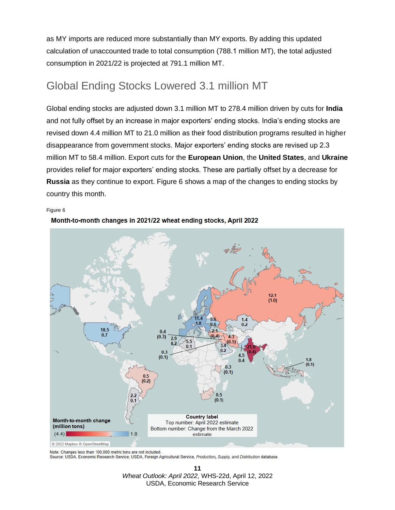as MY imports are reduced more substantially than MY exports. By adding this updated calculation of unaccounted trade to total consumption (788.1 million MT), the total adjusted consumption in 2021/22 is projected at 791.1 million MT.

#### Global Ending Stocks Lowered 3.1 million MT

Global ending stocks are adjusted down 3.1 million MT to 278.4 million driven by cuts for **India**  and not fully offset by an increase in major exporters' ending stocks. India's ending stocks are revised down 4.4 million MT to 21.0 million as their food distribution programs resulted in higher disappearance from government stocks. Major exporters' ending stocks are revised up 2.3 million MT to 58.4 million. Export cuts for the **European Union**, the **United States**, and **Ukraine** provides relief for major exporters' ending stocks. These are partially offset by a decrease for **Russia** as they continue to export. Figure 6 shows a map of the changes to ending stocks by country this month.

Figure 6



Month-to-month changes in 2021/22 wheat ending stocks, April 2022

Note: Changes less than 100,000 metric tons are not included.

Source: USDA, Economic Research Service; USDA, Foreign Agricultural Service, Production, Supply, and Distribution database.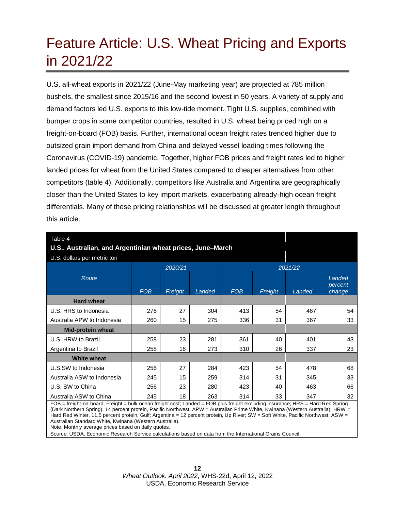## <span id="page-11-0"></span>Feature Article: U.S. Wheat Pricing and Exports in 2021/22

U.S. all-wheat exports in 2021/22 (June-May marketing year) are projected at 785 million bushels, the smallest since 2015/16 and the second lowest in 50 years. A variety of supply and demand factors led U.S. exports to this low-tide moment. Tight U.S. supplies, combined with bumper crops in some competitor countries, resulted in U.S. wheat being priced high on a freight-on-board (FOB) basis. Further, international ocean freight rates trended higher due to outsized grain import demand from China and delayed vessel loading times following the Coronavirus (COVID-19) pandemic. Together, higher FOB prices and freight rates led to higher landed prices for wheat from the United States compared to cheaper alternatives from other competitors (table 4). Additionally, competitors like Australia and Argentina are geographically closer than the United States to key import markets, exacerbating already-high ocean freight differentials. Many of these pricing relationships will be discussed at greater length throughout this article.

| Table 4<br>U.S., Australian, and Argentinian wheat prices, June-March |            |         |        |            |         |        |                             |
|-----------------------------------------------------------------------|------------|---------|--------|------------|---------|--------|-----------------------------|
| U.S. dollars per metric ton                                           |            |         |        |            |         |        |                             |
|                                                                       | 2020/21    |         |        | 2021/22    |         |        |                             |
| Route                                                                 | <b>FOB</b> | Freight | Landed | <b>FOB</b> | Freight | Landed | Landed<br>percent<br>change |
| <b>Hard wheat</b>                                                     |            |         |        |            |         |        |                             |
| U.S. HRS to Indonesia                                                 | 276        | 27      | 304    | 413        | 54      | 467    | 54                          |
| Australia APW to Indonesia                                            | 260        | 15      | 275    | 336        | 31      | 367    | 33                          |
| <b>Mid-protein wheat</b>                                              |            |         |        |            |         |        |                             |
| U.S. HRW to Brazil                                                    | 258        | 23      | 281    | 361        | 40      | 401    | 43                          |
| Argentina to Brazil                                                   | 258        | 16      | 273    | 310        | 26      | 337    | 23                          |
| <b>White wheat</b>                                                    |            |         |        |            |         |        |                             |
| U.S.SW to Indonesia                                                   | 256        | 27      | 284    | 423        | 54      | 478    | 68                          |
| Australia ASW to Indonesia                                            | 245        | 15      | 259    | 314        | 31      | 345    | 33                          |
| U.S. SW to China                                                      | 256        | 23      | 280    | 423        | 40      | 463    | 66                          |
| Australia ASW to China                                                | 245        | 18      | 263    | 314        | 33      | 347    | 32                          |

FOB = freight-on-board; Freight = bulk ocean freight cost; Landed = FOB plus freight excluding insurance; HRS = Hard Red Spring (Dark Northern Spring), 14 percent protein, Pacific Northwest; APW = Australian Prime White, Kwinana (Western Australia); HRW = Hard Red Winter, 11.5 percent protein, Gulf; Argentina = 12 percent protein, Up River; SW = Soft White, Pacific Northwest; ASW = Australian Standard White, Kwinana (Western Australia).

Note: Monthly average prices based on daily quotes.

Source: USDA, Economic Research Service calculations based on data from the International Grains Council.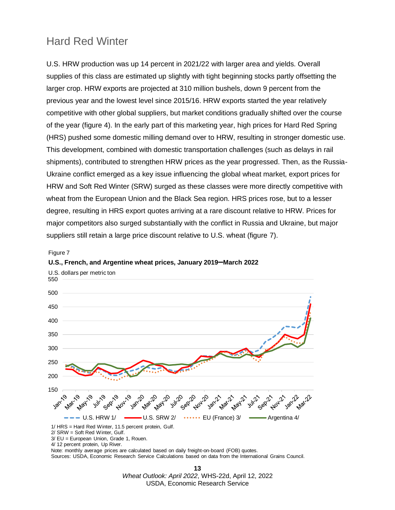#### Hard Red Winter

U.S. HRW production was up 14 percent in 2021/22 with larger area and yields. Overall supplies of this class are estimated up slightly with tight beginning stocks partly offsetting the larger crop. HRW exports are projected at 310 million bushels, down 9 percent from the previous year and the lowest level since 2015/16. HRW exports started the year relatively competitive with other global suppliers, but market conditions gradually shifted over the course of the year (figure 4). In the early part of this marketing year, high prices for Hard Red Spring (HRS) pushed some domestic milling demand over to HRW, resulting in stronger domestic use. This development, combined with domestic transportation challenges (such as delays in rail shipments), contributed to strengthen HRW prices as the year progressed. Then, as the Russia-Ukraine conflict emerged as a key issue influencing the global wheat market, export prices for HRW and Soft Red Winter (SRW) surged as these classes were more directly competitive with wheat from the European Union and the Black Sea region. HRS prices rose, but to a lesser degree, resulting in HRS export quotes arriving at a rare discount relative to HRW. Prices for major competitors also surged substantially with the conflict in Russia and Ukraine, but major suppliers still retain a large price discount relative to U.S. wheat (figure 7).

#### Figure 7

#### **U.S., French, and Argentine wheat prices, January 2019–March 2022**



4/ 12 percent protein, Up River.

Note: monthly average prices are calculated based on daily freight-on-board (FOB) quotes.

Sources: USDA, Economic Research Service Calculations based on data from the International Grains Council.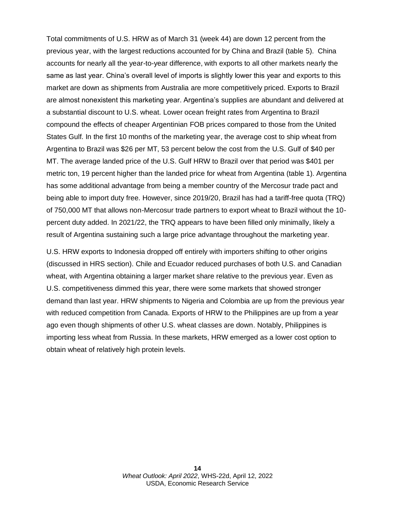Total commitments of U.S. HRW as of March 31 (week 44) are down 12 percent from the previous year, with the largest reductions accounted for by China and Brazil (table 5). China accounts for nearly all the year-to-year difference, with exports to all other markets nearly the same as last year. China's overall level of imports is slightly lower this year and exports to this market are down as shipments from Australia are more competitively priced. Exports to Brazil are almost nonexistent this marketing year. Argentina's supplies are abundant and delivered at a substantial discount to U.S. wheat. Lower ocean freight rates from Argentina to Brazil compound the effects of cheaper Argentinian FOB prices compared to those from the United States Gulf. In the first 10 months of the marketing year, the average cost to ship wheat from Argentina to Brazil was \$26 per MT, 53 percent below the cost from the U.S. Gulf of \$40 per MT. The average landed price of the U.S. Gulf HRW to Brazil over that period was \$401 per metric ton, 19 percent higher than the landed price for wheat from Argentina (table 1). Argentina has some additional advantage from being a member country of the Mercosur trade pact and being able to import duty free. However, since 2019/20, Brazil has had a tariff-free quota (TRQ) of 750,000 MT that allows non-Mercosur trade partners to export wheat to Brazil without the 10 percent duty added. In 2021/22, the TRQ appears to have been filled only minimally, likely a result of Argentina sustaining such a large price advantage throughout the marketing year.

U.S. HRW exports to Indonesia dropped off entirely with importers shifting to other origins (discussed in HRS section). Chile and Ecuador reduced purchases of both U.S. and Canadian wheat, with Argentina obtaining a larger market share relative to the previous year. Even as U.S. competitiveness dimmed this year, there were some markets that showed stronger demand than last year. HRW shipments to Nigeria and Colombia are up from the previous year with reduced competition from Canada. Exports of HRW to the Philippines are up from a year ago even though shipments of other U.S. wheat classes are down. Notably, Philippines is importing less wheat from Russia. In these markets, HRW emerged as a lower cost option to obtain wheat of relatively high protein levels.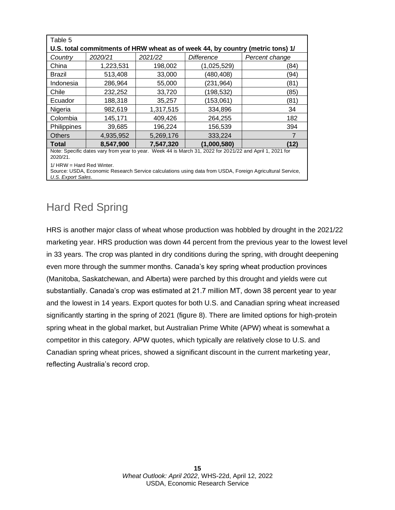| Table 5                                                                                                  |           |           |                   |                |  |  |
|----------------------------------------------------------------------------------------------------------|-----------|-----------|-------------------|----------------|--|--|
| U.S. total commitments of HRW wheat as of week 44, by country (metric tons) 1/                           |           |           |                   |                |  |  |
| Country                                                                                                  | 2020/21   | 2021/22   | <b>Difference</b> | Percent change |  |  |
| China                                                                                                    | 1,223,531 | 198,002   | (1,025,529)       | (84)           |  |  |
| <b>Brazil</b>                                                                                            | 513,408   | 33,000    | (480,408)         | (94)           |  |  |
| Indonesia                                                                                                | 286,964   | 55,000    | (231, 964)        | (81)           |  |  |
| Chile                                                                                                    | 232,252   | 33,720    | (198, 532)        | (85)           |  |  |
| Ecuador                                                                                                  | 188,318   | 35,257    | (153,061)         | (81)           |  |  |
| Nigeria                                                                                                  | 982,619   | 1,317,515 | 334,896           | 34             |  |  |
| Colombia                                                                                                 | 145,171   | 409,426   | 264,255           | 182            |  |  |
| Philippines                                                                                              | 39,685    | 196,224   | 156,539           | 394            |  |  |
| <b>Others</b>                                                                                            | 4,935,952 | 5.269.176 | 333,224           |                |  |  |
| <b>Total</b>                                                                                             | 8,547,900 | 7,547,320 | (1,000,580)       | (12)           |  |  |
| Note: Specific dates vary from year to year. Week 44 is March 31, 2022 for 2021/22 and April 1, 2021 for |           |           |                   |                |  |  |

2020/21.

1/ HRW = Hard Red Winter.

Source: USDA, Economic Research Service calculations using data from USDA, Foreign Agricultural Service, *U.S. Export Sales*.

#### Hard Red Spring

HRS is another major class of wheat whose production was hobbled by drought in the 2021/22 marketing year. HRS production was down 44 percent from the previous year to the lowest level in 33 years. The crop was planted in dry conditions during the spring, with drought deepening even more through the summer months. Canada's key spring wheat production provinces (Manitoba, Saskatchewan, and Alberta) were parched by this drought and yields were cut substantially. Canada's crop was estimated at 21.7 million MT, down 38 percent year to year and the lowest in 14 years. Export quotes for both U.S. and Canadian spring wheat increased significantly starting in the spring of 2021 (figure 8). There are limited options for high-protein spring wheat in the global market, but Australian Prime White (APW) wheat is somewhat a competitor in this category. APW quotes, which typically are relatively close to U.S. and Canadian spring wheat prices, showed a significant discount in the current marketing year, reflecting Australia's record crop.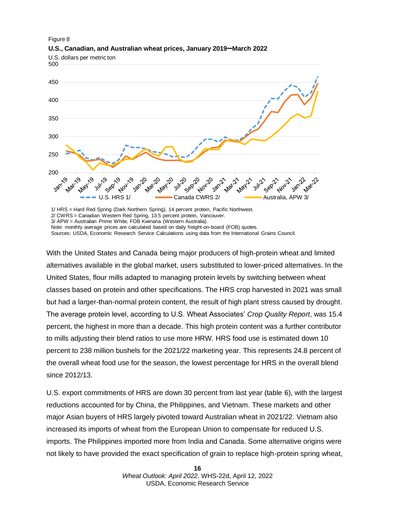

Figure 8 **U.S., Canadian, and Australian wheat prices, January 2019–March 2022**

1/ HRS = Hard Red Spring (Dark Northern Spring), 14 percent protein, Pacific Northwest. 2/ CWRS = Canadian Western Red Spring, 13.5 percent protein, Vancouver. 3/ APW = Australian Prime White, FOB Kwinana (Western Australia). Note: monthly average prices are calculated based on daily freight-on-board (FOB) quotes.

Sources: USDA, Economic Research Service Calculations using data from the International Grains Council.

With the United States and Canada being major producers of high-protein wheat and limited alternatives available in the global market, users substituted to lower-priced alternatives. In the United States, flour mills adapted to managing protein levels by switching between wheat classes based on protein and other specifications. The HRS crop harvested in 2021 was small but had a larger-than-normal protein content, the result of high plant stress caused by drought. The average protein level, according to U.S. Wheat Associates' *Crop Quality Report*, was 15.4 percent, the highest in more than a decade. This high protein content was a further contributor to mills adjusting their blend ratios to use more HRW. HRS food use is estimated down 10 percent to 238 million bushels for the 2021/22 marketing year. This represents 24.8 percent of the overall wheat food use for the season, the lowest percentage for HRS in the overall blend since 2012/13.

U.S. export commitments of HRS are down 30 percent from last year (table 6), with the largest reductions accounted for by China, the Philippines, and Vietnam. These markets and other major Asian buyers of HRS largely pivoted toward Australian wheat in 2021/22. Vietnam also increased its imports of wheat from the European Union to compensate for reduced U.S. imports. The Philippines imported more from India and Canada. Some alternative origins were not likely to have provided the exact specification of grain to replace high-protein spring wheat,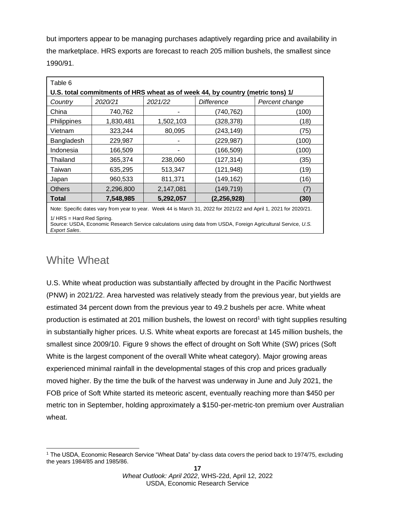but importers appear to be managing purchases adaptively regarding price and availability in the marketplace. HRS exports are forecast to reach 205 million bushels, the smallest since 1990/91.

| Table 6                                                                        |           |           |                   |                |  |  |
|--------------------------------------------------------------------------------|-----------|-----------|-------------------|----------------|--|--|
| U.S. total commitments of HRS wheat as of week 44, by country (metric tons) 1/ |           |           |                   |                |  |  |
| Country                                                                        | 2020/21   | 2021/22   | <b>Difference</b> | Percent change |  |  |
| China                                                                          | 740,762   |           | (740, 762)        | (100)          |  |  |
| Philippines                                                                    | 1,830,481 | 1,502,103 | (328, 378)        | (18)           |  |  |
| Vietnam                                                                        | 323,244   | 80,095    | (243, 149)        | (75)           |  |  |
| Bangladesh                                                                     | 229,987   |           | (229,987)         | (100)          |  |  |
| Indonesia                                                                      | 166,509   |           | (166,509)         | (100)          |  |  |
| Thailand                                                                       | 365,374   | 238,060   | (127, 314)        | (35)           |  |  |
| Taiwan                                                                         | 635,295   | 513,347   | (121, 948)        | (19)           |  |  |
| Japan                                                                          | 960,533   | 811,371   | (149, 162)        | (16)           |  |  |
| <b>Others</b>                                                                  | 2,296,800 | 2,147,081 | (149,719)         | 7              |  |  |
| <b>Total</b>                                                                   | 7,548,985 | 5,292,057 | (2, 256, 928)     | (30)           |  |  |
| $\cdots$<br>------                                                             |           |           |                   |                |  |  |

Note: Specific dates vary from year to year. Week 44 is March 31, 2022 for 2021/22 and April 1, 2021 for 2020/21.

1/ HRS = Hard Red Spring.

Source: USDA, Economic Research Service calculations using data from USDA, Foreign Agricultural Service, *U.S. Export Sales*.

### White Wheat

U.S. White wheat production was substantially affected by drought in the Pacific Northwest (PNW) in 2021/22. Area harvested was relatively steady from the previous year, but yields are estimated 34 percent down from the previous year to 49.2 bushels per acre. White wheat production is estimated at 201 million bushels, the lowest on record<sup>1</sup> with tight supplies resulting in substantially higher prices. U.S. White wheat exports are forecast at 145 million bushels, the smallest since 2009/10. Figure 9 shows the effect of drought on Soft White (SW) prices (Soft White is the largest component of the overall White wheat category). Major growing areas experienced minimal rainfall in the developmental stages of this crop and prices gradually moved higher. By the time the bulk of the harvest was underway in June and July 2021, the FOB price of Soft White started its meteoric ascent, eventually reaching more than \$450 per metric ton in September, holding approximately a \$150-per-metric-ton premium over Australian wheat.

<sup>1</sup> The USDA, Economic Research Service "Wheat Data" by-class data covers the period back to 1974/75, excluding the years 1984/85 and 1985/86.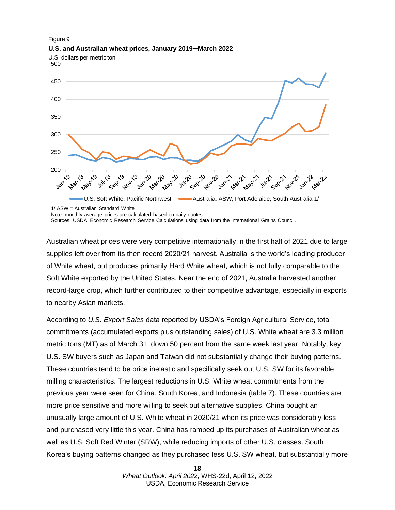

#### Figure 9 **U.S. and Australian wheat prices, January 2019–March 2022**

1/ ASW = Australian Standard White

Sources: USDA, Economic Research Service Calculations using data from the International Grains Council.

Australian wheat prices were very competitive internationally in the first half of 2021 due to large supplies left over from its then record 2020/21 harvest. Australia is the world's leading producer of White wheat, but produces primarily Hard White wheat, which is not fully comparable to the Soft White exported by the United States. Near the end of 2021, Australia harvested another record-large crop, which further contributed to their competitive advantage, especially in exports to nearby Asian markets.

According to *U.S. Export Sales* data reported by USDA's Foreign Agricultural Service, total commitments (accumulated exports plus outstanding sales) of U.S. White wheat are 3.3 million metric tons (MT) as of March 31, down 50 percent from the same week last year. Notably, key U.S. SW buyers such as Japan and Taiwan did not substantially change their buying patterns. These countries tend to be price inelastic and specifically seek out U.S. SW for its favorable milling characteristics. The largest reductions in U.S. White wheat commitments from the previous year were seen for China, South Korea, and Indonesia (table 7). These countries are more price sensitive and more willing to seek out alternative supplies. China bought an unusually large amount of U.S. White wheat in 2020/21 when its price was considerably less and purchased very little this year. China has ramped up its purchases of Australian wheat as well as U.S. Soft Red Winter (SRW), while reducing imports of other U.S. classes. South Korea's buying patterns changed as they purchased less U.S. SW wheat, but substantially more

Note: monthly average prices are calculated based on daily quotes.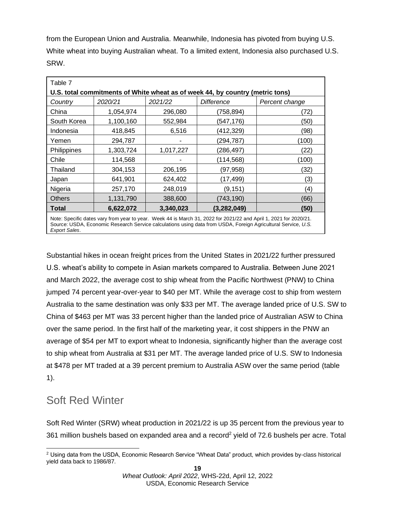from the European Union and Australia. Meanwhile, Indonesia has pivoted from buying U.S. White wheat into buying Australian wheat. To a limited extent, Indonesia also purchased U.S. SRW.

| Table 7                                                                                                                                                                                                                            |           |           |                   |                |  |  |
|------------------------------------------------------------------------------------------------------------------------------------------------------------------------------------------------------------------------------------|-----------|-----------|-------------------|----------------|--|--|
| U.S. total commitments of White wheat as of week 44, by country (metric tons)                                                                                                                                                      |           |           |                   |                |  |  |
| Country                                                                                                                                                                                                                            | 2020/21   | 2021/22   | <b>Difference</b> | Percent change |  |  |
| China                                                                                                                                                                                                                              | 1,054,974 | 296,080   | (758,894)         | (72)           |  |  |
| South Korea                                                                                                                                                                                                                        | 1,100,160 | 552,984   | (547, 176)        | (50)           |  |  |
| Indonesia                                                                                                                                                                                                                          | 418,845   | 6,516     | (412, 329)        | (98)           |  |  |
| Yemen                                                                                                                                                                                                                              | 294,787   |           | (294, 787)        | (100)          |  |  |
| Philippines                                                                                                                                                                                                                        | 1,303,724 | 1,017,227 | (286, 497)        | (22)           |  |  |
| Chile                                                                                                                                                                                                                              | 114,568   |           | (114, 568)        | (100)          |  |  |
| Thailand                                                                                                                                                                                                                           | 304,153   | 206,195   | (97, 958)         | (32)           |  |  |
| Japan                                                                                                                                                                                                                              | 641,901   | 624,402   | (17, 499)         | (3)            |  |  |
| Nigeria                                                                                                                                                                                                                            | 257,170   | 248,019   | (9, 151)          | (4)            |  |  |
| <b>Others</b>                                                                                                                                                                                                                      | 1,131,790 | 388,600   | (743, 190)        | (66)           |  |  |
| <b>Total</b>                                                                                                                                                                                                                       | 6,622,072 | 3,340,023 | (3, 282, 049)     | (50)           |  |  |
| Note: Specific dates vary from year to year. Week 44 is March 31, 2022 for 2021/22 and April 1, 2021 for 2020/21.<br>Source: USDA, Economic Research Service calculations using data from USDA, Foreign Agricultural Service, U.S. |           |           |                   |                |  |  |

Substantial hikes in ocean freight prices from the United States in 2021/22 further pressured U.S. wheat's ability to compete in Asian markets compared to Australia. Between June 2021 and March 2022, the average cost to ship wheat from the Pacific Northwest (PNW) to China jumped 74 percent year-over-year to \$40 per MT. While the average cost to ship from western Australia to the same destination was only \$33 per MT. The average landed price of U.S. SW to China of \$463 per MT was 33 percent higher than the landed price of Australian ASW to China over the same period. In the first half of the marketing year, it cost shippers in the PNW an average of \$54 per MT to export wheat to Indonesia, significantly higher than the average cost to ship wheat from Australia at \$31 per MT. The average landed price of U.S. SW to Indonesia at \$478 per MT traded at a 39 percent premium to Australia ASW over the same period (table 1).

### Soft Red Winter

*Export Sales*.

Soft Red Winter (SRW) wheat production in 2021/22 is up 35 percent from the previous year to 361 million bushels based on expanded area and a record<sup>2</sup> yield of 72.6 bushels per acre. Total

<sup>&</sup>lt;sup>2</sup> Using data from the USDA, Economic Research Service "Wheat Data" product, which provides by-class historical yield data back to 1986/87.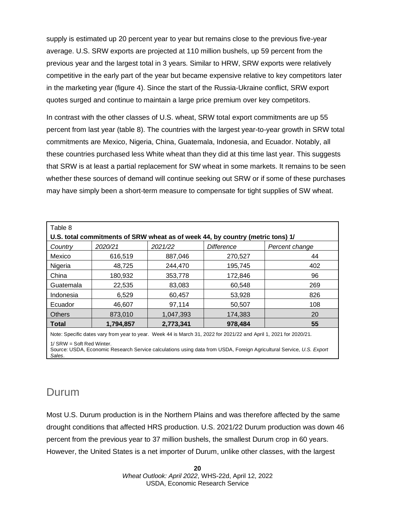supply is estimated up 20 percent year to year but remains close to the previous five-year average. U.S. SRW exports are projected at 110 million bushels, up 59 percent from the previous year and the largest total in 3 years. Similar to HRW, SRW exports were relatively competitive in the early part of the year but became expensive relative to key competitors later in the marketing year (figure 4). Since the start of the Russia-Ukraine conflict, SRW export quotes surged and continue to maintain a large price premium over key competitors.

In contrast with the other classes of U.S. wheat, SRW total export commitments are up 55 percent from last year (table 8). The countries with the largest year-to-year growth in SRW total commitments are Mexico, Nigeria, China, Guatemala, Indonesia, and Ecuador. Notably, all these countries purchased less White wheat than they did at this time last year. This suggests that SRW is at least a partial replacement for SW wheat in some markets. It remains to be seen whether these sources of demand will continue seeking out SRW or if some of these purchases may have simply been a short-term measure to compensate for tight supplies of SW wheat.

| Table 8                                                                        |           |           |            |                |  |  |
|--------------------------------------------------------------------------------|-----------|-----------|------------|----------------|--|--|
| U.S. total commitments of SRW wheat as of week 44, by country (metric tons) 1/ |           |           |            |                |  |  |
| Country                                                                        | 2020/21   | 2021/22   | Difference | Percent change |  |  |
| Mexico                                                                         | 616.519   | 887.046   | 270.527    | 44             |  |  |
| Nigeria                                                                        | 48.725    | 244,470   | 195.745    | 402            |  |  |
| China                                                                          | 180.932   | 353,778   | 172.846    | 96             |  |  |
| Guatemala                                                                      | 22,535    | 83,083    | 60,548     | 269            |  |  |
| Indonesia                                                                      | 6.529     | 60,457    | 53,928     | 826            |  |  |
| Ecuador                                                                        | 46,607    | 97,114    | 50,507     | 108            |  |  |
| <b>Others</b>                                                                  | 873.010   | 1,047,393 | 174,383    | 20             |  |  |
| <b>Total</b>                                                                   | 1,794,857 | 2.773.341 | 978,484    | 55             |  |  |

Note: Specific dates vary from year to year. Week 44 is March 31, 2022 for 2021/22 and April 1, 2021 for 2020/21. 1/ SRW = Soft Red Winter.

Source: USDA, Economic Research Service calculations using data from USDA, Foreign Agricultural Service, *U.S. Export Sales*.

#### Durum

Most U.S. Durum production is in the Northern Plains and was therefore affected by the same drought conditions that affected HRS production. U.S. 2021/22 Durum production was down 46 percent from the previous year to 37 million bushels, the smallest Durum crop in 60 years. However, the United States is a net importer of Durum, unlike other classes, with the largest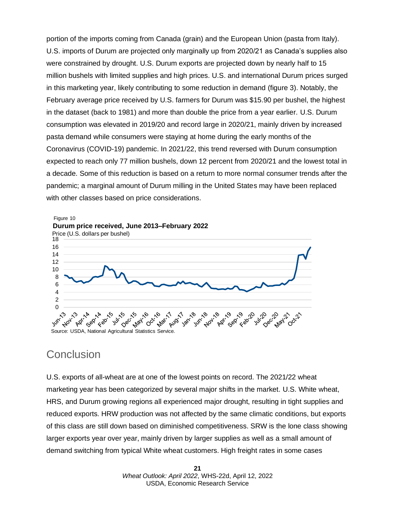portion of the imports coming from Canada (grain) and the European Union (pasta from Italy). U.S. imports of Durum are projected only marginally up from 2020/21 as Canada's supplies also were constrained by drought. U.S. Durum exports are projected down by nearly half to 15 million bushels with limited supplies and high prices. U.S. and international Durum prices surged in this marketing year, likely contributing to some reduction in demand (figure 3). Notably, the February average price received by U.S. farmers for Durum was \$15.90 per bushel, the highest in the dataset (back to 1981) and more than double the price from a year earlier. U.S. Durum consumption was elevated in 2019/20 and record large in 2020/21, mainly driven by increased pasta demand while consumers were staying at home during the early months of the Coronavirus (COVID-19) pandemic. In 2021/22, this trend reversed with Durum consumption expected to reach only 77 million bushels, down 12 percent from 2020/21 and the lowest total in a decade. Some of this reduction is based on a return to more normal consumer trends after the pandemic; a marginal amount of Durum milling in the United States may have been replaced with other classes based on price considerations.



#### **Conclusion**

U.S. exports of all-wheat are at one of the lowest points on record. The 2021/22 wheat marketing year has been categorized by several major shifts in the market. U.S. White wheat, HRS, and Durum growing regions all experienced major drought, resulting in tight supplies and reduced exports. HRW production was not affected by the same climatic conditions, but exports of this class are still down based on diminished competitiveness. SRW is the lone class showing larger exports year over year, mainly driven by larger supplies as well as a small amount of demand switching from typical White wheat customers. High freight rates in some cases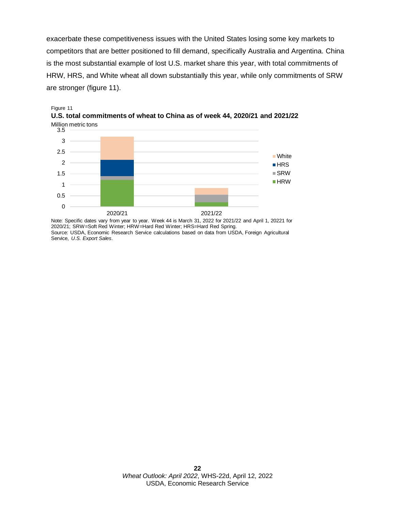exacerbate these competitiveness issues with the United States losing some key markets to competitors that are better positioned to fill demand, specifically Australia and Argentina. China is the most substantial example of lost U.S. market share this year, with total commitments of HRW, HRS, and White wheat all down substantially this year, while only commitments of SRW are stronger (figure 11).





Note: Specific dates vary from year to year. Week 44 is March 31, 2022 for 2021/22 and April 1, 20221 for 2020/21; SRW=Soft Red Winter; HRW=Hard Red Winter; HRS=Hard Red Spring. Source: USDA, Economic Research Service calculations based on data from USDA, Foreign Agricultural Service, *U.S. Export Sales*.